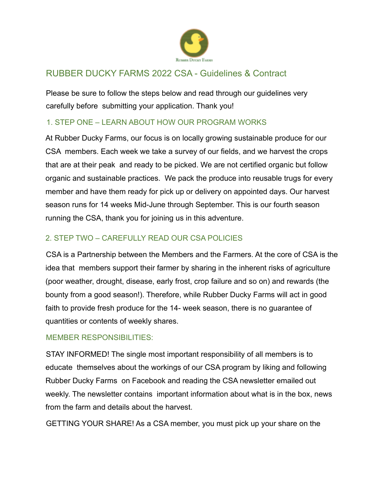

# RUBBER DUCKY FARMS 2022 CSA - Guidelines & Contract

Please be sure to follow the steps below and read through our guidelines very carefully before submitting your application. Thank you!

## 1. STEP ONE – LEARN ABOUT HOW OUR PROGRAM WORKS

At Rubber Ducky Farms, our focus is on locally growing sustainable produce for our CSA members. Each week we take a survey of our fields, and we harvest the crops that are at their peak and ready to be picked. We are not certified organic but follow organic and sustainable practices. We pack the produce into reusable trugs for every member and have them ready for pick up or delivery on appointed days. Our harvest season runs for 14 weeks Mid-June through September. This is our fourth season running the CSA, thank you for joining us in this adventure.

## 2. STEP TWO – CAREFULLY READ OUR CSA POLICIES

CSA is a Partnership between the Members and the Farmers. At the core of CSA is the idea that members support their farmer by sharing in the inherent risks of agriculture (poor weather, drought, disease, early frost, crop failure and so on) and rewards (the bounty from a good season!). Therefore, while Rubber Ducky Farms will act in good faith to provide fresh produce for the 14- week season, there is no guarantee of quantities or contents of weekly shares.

## MEMBER RESPONSIBILITIES:

STAY INFORMED! The single most important responsibility of all members is to educate themselves about the workings of our CSA program by liking and following Rubber Ducky Farms on Facebook and reading the CSA newsletter emailed out weekly. The newsletter contains important information about what is in the box, news from the farm and details about the harvest.

GETTING YOUR SHARE! As a CSA member, you must pick up your share on the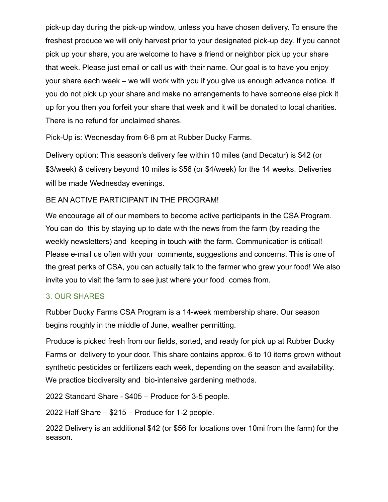pick-up day during the pick-up window, unless you have chosen delivery. To ensure the freshest produce we will only harvest prior to your designated pick-up day. If you cannot pick up your share, you are welcome to have a friend or neighbor pick up your share that week. Please just email or call us with their name. Our goal is to have you enjoy your share each week – we will work with you if you give us enough advance notice. If you do not pick up your share and make no arrangements to have someone else pick it up for you then you forfeit your share that week and it will be donated to local charities. There is no refund for unclaimed shares.

Pick-Up is: Wednesday from 6-8 pm at Rubber Ducky Farms.

Delivery option: This season's delivery fee within 10 miles (and Decatur) is \$42 (or \$3/week) & delivery beyond 10 miles is \$56 (or \$4/week) for the 14 weeks. Deliveries will be made Wednesday evenings.

## BE AN ACTIVE PARTICIPANT IN THE PROGRAM!

We encourage all of our members to become active participants in the CSA Program. You can do this by staying up to date with the news from the farm (by reading the weekly newsletters) and keeping in touch with the farm. Communication is critical! Please e-mail us often with your comments, suggestions and concerns. This is one of the great perks of CSA, you can actually talk to the farmer who grew your food! We also invite you to visit the farm to see just where your food comes from.

## 3. OUR SHARES

Rubber Ducky Farms CSA Program is a 14-week membership share. Our season begins roughly in the middle of June, weather permitting.

Produce is picked fresh from our fields, sorted, and ready for pick up at Rubber Ducky Farms or delivery to your door. This share contains approx. 6 to 10 items grown without synthetic pesticides or fertilizers each week, depending on the season and availability. We practice biodiversity and bio-intensive gardening methods.

2022 Standard Share - \$405 – Produce for 3-5 people.

2022 Half Share – \$215 – Produce for 1-2 people.

2022 Delivery is an additional \$42 (or \$56 for locations over 10mi from the farm) for the season.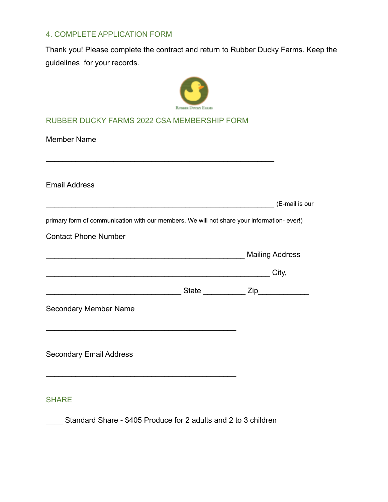## 4. COMPLETE APPLICATION FORM

Thank you! Please complete the contract and return to Rubber Ducky Farms. Keep the guidelines for your records.



### RUBBER DUCKY FARMS 2022 CSA MEMBERSHIP FORM

 $\mathcal{L}_\text{max}$  , and the contract of the contract of the contract of the contract of the contract of the contract of the contract of the contract of the contract of the contract of the contract of the contract of the contr

Member Name

Email Address

|                                                                                            | (E-mail is our |
|--------------------------------------------------------------------------------------------|----------------|
| primary form of communication with our members. We will not share your information- ever!) |                |
| <b>Contact Phone Number</b>                                                                |                |
| <b>Mailing Address</b>                                                                     |                |
|                                                                                            | City.          |

| <b>JULY</b> | . .<br>ש ו |  |
|-------------|------------|--|
|             |            |  |

Secondary Member Name

Secondary Email Address

#### **SHARE**

\_\_\_\_ Standard Share - \$405 Produce for 2 adults and 2 to 3 children

 $\mathcal{L}_\text{max}$  and  $\mathcal{L}_\text{max}$  and  $\mathcal{L}_\text{max}$  and  $\mathcal{L}_\text{max}$ 

 $\mathcal{L}_\text{max}$  and  $\mathcal{L}_\text{max}$  and  $\mathcal{L}_\text{max}$  and  $\mathcal{L}_\text{max}$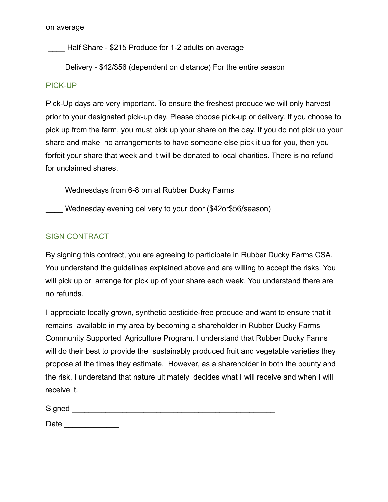#### on average

Half Share - \$215 Produce for 1-2 adults on average

Delivery - \$42/\$56 (dependent on distance) For the entire season

#### PICK-UP

Pick-Up days are very important. To ensure the freshest produce we will only harvest prior to your designated pick-up day. Please choose pick-up or delivery. If you choose to pick up from the farm, you must pick up your share on the day. If you do not pick up your share and make no arrangements to have someone else pick it up for you, then you forfeit your share that week and it will be donated to local charities. There is no refund for unclaimed shares.

Wednesdays from 6-8 pm at Rubber Ducky Farms

Wednesday evening delivery to your door (\$42or\$56/season)

## SIGN CONTRACT

By signing this contract, you are agreeing to participate in Rubber Ducky Farms CSA. You understand the guidelines explained above and are willing to accept the risks. You will pick up or arrange for pick up of your share each week. You understand there are no refunds.

I appreciate locally grown, synthetic pesticide-free produce and want to ensure that it remains available in my area by becoming a shareholder in Rubber Ducky Farms Community Supported Agriculture Program. I understand that Rubber Ducky Farms will do their best to provide the sustainably produced fruit and vegetable varieties they propose at the times they estimate. However, as a shareholder in both the bounty and the risk, I understand that nature ultimately decides what I will receive and when I will receive it.

| Signed |  |  |  |
|--------|--|--|--|
| Date   |  |  |  |